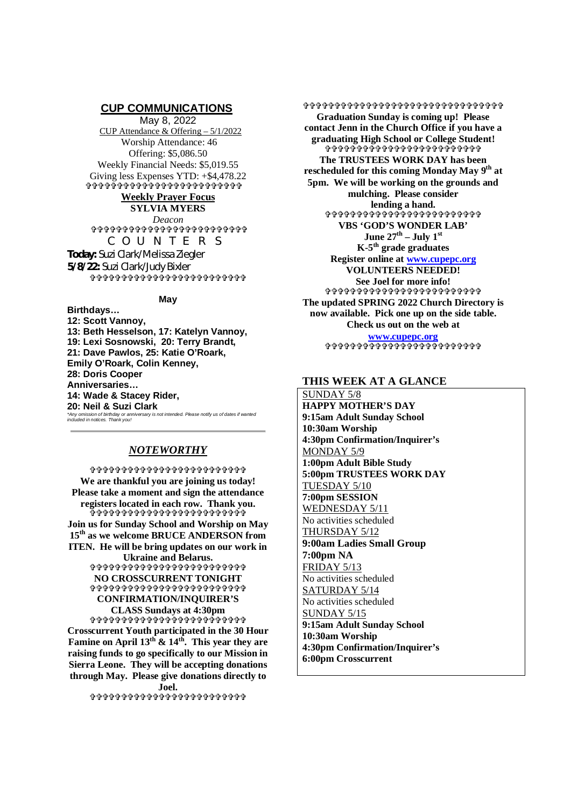# **CUP COMMUNICATIONS**

May 8, 2022 CUP Attendance & Offering – 5/1/2022 Worship Attendance: 46 Offering: \$5,086.50 Weekly Financial Needs: \$5,019.55 Giving less Expenses YTD: +\$4,478.22 

# **Weekly Prayer Focus**

**SYLVIA MYERS** *Deacon*

\*\*\*\*\*\*\*\*\*\*\*\*\*\*\*\*\*\*\*\*\*\*\* COUNTERS **Today:** Suzi Clark/Melissa Ziegler **5/8/22:** Suzi Clark/Judy Bixler

.<br>ቀንቀቀቀቀቀቀቀቀቀቀቀቀቀቀቀቀቀቀቀቀ

## **May**

**Birthdays… 12: Scott Vannoy, 13: Beth Hesselson, 17: Katelyn Vannoy, 19: Lexi Sosnowski, 20: Terry Brandt, 21: Dave Pawlos, 25: Katie O'Roark, Emily O'Roark, Colin Kenney, 28: Doris Cooper Anniversaries… 14: Wade & Stacey Rider, 20: Neil & Suzi Clark** *\*Any omission of birthday or anniversary is not intended. Please notify us of dates if wanted included in notices. Thank you!*

# *NOTEWORTHY*

 **We are thankful you are joining us today! Please take a moment and sign the attendance registers located in each row. Thank you. ቅቀቀቀቀቀቀቀቀቀቀቀቀቀቀቀቀቀቀቀቀ Join us for Sunday School and Worship on May 15th as we welcome BRUCE ANDERSON from ITEN. He will be bring updates on our work in Ukraine and Belarus.**

### **^^^^^^^^^^^^^^^^^^^^^^^**^^^^^^^^^ **NO CROSSCURRENT TONIGHT** 00000000000000000000000000 **CONFIRMATION/INQUIRER'S CLASS Sundays at 4:30pm**

**Crosscurrent Youth participated in the 30 Hour Famine on April 13th & 14th. This year they are raising funds to go specifically to our Mission in Sierra Leone. They will be accepting donations through May. Please give donations directly to Joel.**

\*\*\*\*\*\*\*\*\*\*\*\*\*\*\*\*\*\*\*\*\*\*\*\*\*

\$\$\$\$\$\$\$\$\$\$\$\$\$\$\$\$\$\$\$\$\$\$\$\$\$\$\$\$\$\$\$\$\$ **Graduation Sunday is coming up! Please contact Jenn in the Church Office if you have a graduating High School or College Student!** ቀቀቀቀቀቀቀቀቀቀቀቀቀቀቀቀቀቀቀቀቀቀ **The TRUSTEES WORK DAY has been rescheduled for this coming Monday May 9th at 5pm. We will be working on the grounds and mulching. Please consider lending a hand.** ቀቀቀቀቀቀቀቀቀቀ**ቀ** የተቀቀቀቀቀቀቀቀቀ **VBS 'GOD'S WONDER LAB' June 27<sup>th</sup> – July 1<sup>st</sup> K-5th grade graduates Register online at www.cupepc.org VOLUNTEERS NEEDED! See Joel for more info! \$\$\$\$\$\$\$\$\$\$\$\$\$\$\$\$\$\$\$\$\$\$\$\$ The updated SPRING 2022 Church Directory is now available. Pick one up on the side table. Check us out on the web at**

**www.cupepc.org \$\$\$\$\$\$\$\$\$\$\$\$\$\$\$\$\$\$\$\$\$\$\$\$\$** 

# **THIS WEEK AT A GLANCE**

SUNDAY 5/8 **HAPPY MOTHER'S DAY 9:15am Adult Sunday School 10:30am Worship 4:30pm Confirmation/Inquirer's** MONDAY 5/9 **1:00pm Adult Bible Study 5:00pm TRUSTEES WORK DAY** TUESDAY 5/10 **7:00pm SESSION** WEDNESDAY 5/11 No activities scheduled THURSDAY 5/12 **9:00am Ladies Small Group 7:00pm NA** FRIDAY 5/13 No activities scheduled SATURDAY 5/14 No activities scheduled SUNDAY 5/15 **9:15am Adult Sunday School 10:30am Worship 4:30pm Confirmation/Inquirer's 6:00pm Crosscurrent**